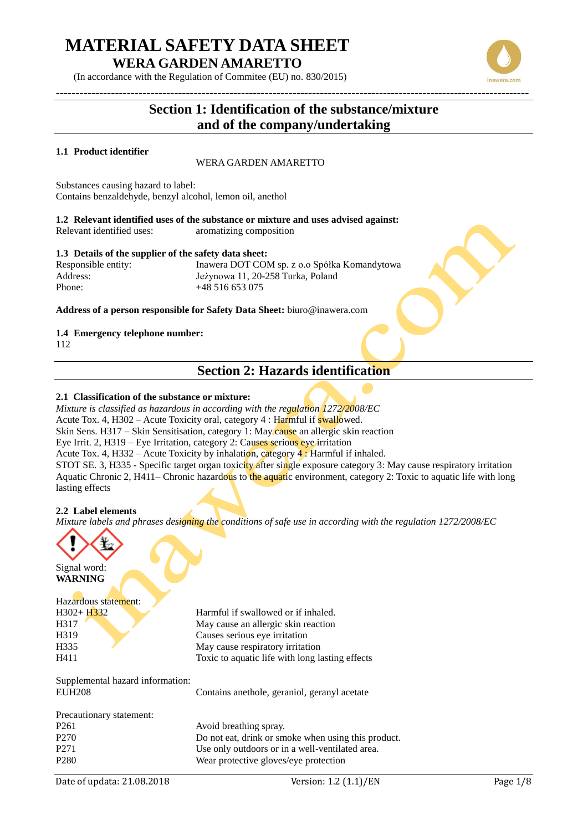(In accordance with the Regulation of Commitee (EU) no. 830/2015)

### **Section 1: Identification of the substance/mixture and of the company/undertaking**

**------------------------------------------------------------------------------------------------------------------------**

### **1.1 Product identifier**

### WERA GARDEN AMARETTO

Substances causing hazard to label: Contains benzaldehyde, benzyl alcohol, lemon oil, anethol

**1.2 Relevant identified uses of the substance or mixture and uses advised against:** Relevant identified uses: aromatizing composition

### **1.3 Details of the supplier of the safety data sheet:**

Responsible entity: Inawera DOT COM sp. z o.o Spółka Komandytowa Address: Jeżynowa 11, 20-258 Turka, Poland Phone: +48 516 653 075

**Address of a person responsible for Safety Data Sheet:** biuro@inawera.com

### **1.4 Emergency telephone number:**

112

### **Section 2: Hazards identification**

### **2.1 Classification of the substance or mixture:**

*Mixture is classified as hazardous in according with the regulation 1272/2008/EC* Acute Tox. 4, H302 – Acute Toxicity oral, category 4 : Harmful if swallowed. Skin Sens. H317 – Skin Sensitisation, category 1: May cause an allergic skin reaction Eye Irrit. 2, H319 – Eye Irritation, category 2: Causes serious eye irritation Acute Tox. 4, H332 – Acute Toxicity by inhalation, category 4 : Harmful if inhaled. STOT SE. 3, H335 - Specific target organ toxicity after single exposure category 3: May cause respiratory irritation Aquatic Chronic 2, H411– Chronic hazardous to the aquatic environment, category 2: Toxic to aquatic life with long lasting effects

### **2.2 Label elements**

*Mixture labels and phrases designing the conditions of safe use in according with the regulation 1272/2008/EC*



Signal word: **WARNING**

# Hazardous statement: H319 Causes serious eye irritation

H302+ H332 Harmful if swallowed or if inhaled. H317 May cause an allergic skin reaction H335 May cause respiratory irritation H411 Toxic to aquatic life with long lasting effects

Supplemental hazard information: EUH208 Contains anethole, geraniol, geranyl acetate

| Precautionary statement: |                                                     |
|--------------------------|-----------------------------------------------------|
| P <sub>261</sub>         | Avoid breathing spray.                              |
| P <sub>270</sub>         | Do not eat, drink or smoke when using this product. |
| P <sub>271</sub>         | Use only outdoors or in a well-ventilated area.     |
| P <sub>280</sub>         | Wear protective gloves/eye protection               |



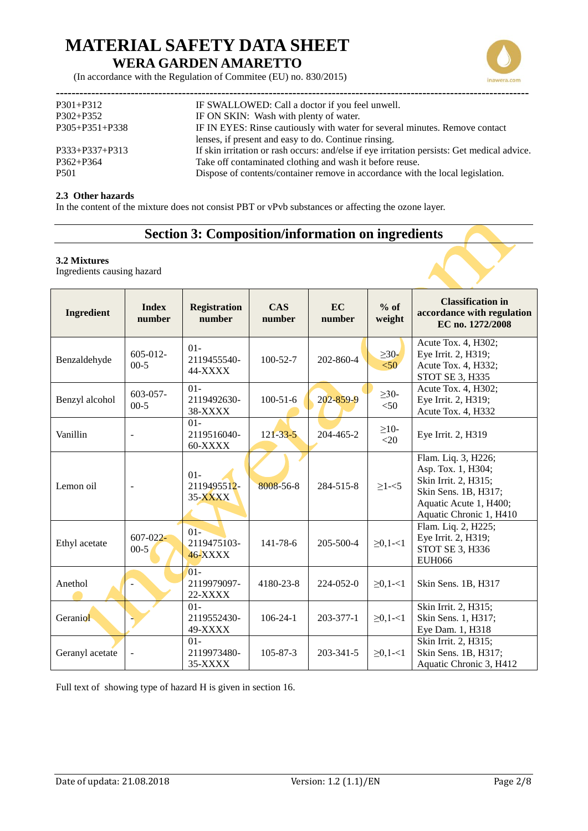

(In accordance with the Regulation of Commitee (EU) no. 830/2015)

| $P301 + P312$        | IF SWALLOWED: Call a doctor if you feel unwell.                                             |
|----------------------|---------------------------------------------------------------------------------------------|
| $P302 + P352$        | IF ON SKIN: Wash with plenty of water.                                                      |
| $P305 + P351 + P338$ | IF IN EYES: Rinse cautiously with water for several minutes. Remove contact                 |
|                      | lenses, if present and easy to do. Continue rinsing.                                        |
| $P333+P337+P313$     | If skin irritation or rash occurs: and/else if eye irritation persists: Get medical advice. |
| $P362 + P364$        | Take off contaminated clothing and wash it before reuse.                                    |
| P <sub>501</sub>     | Dispose of contents/container remove in accordance with the local legislation.              |
|                      |                                                                                             |

### **2.3 Other hazards**

In the content of the mixture does not consist PBT or vPvb substances or affecting the ozone layer.

### **Section 3: Composition/information on ingredients**

#### **3.2 Mixtures**

Ingredients causing hazard

| <b>Ingredient</b> | <b>Index</b><br>number   | <b>Registration</b><br>number      | <b>CAS</b><br>number | EC<br>number    | $%$ of<br>weight     | <b>Classification in</b><br>accordance with regulation<br>EC no. 1272/2008                                                                     |
|-------------------|--------------------------|------------------------------------|----------------------|-----------------|----------------------|------------------------------------------------------------------------------------------------------------------------------------------------|
| Benzaldehyde      | $605-012-$<br>$00-5$     | $01 -$<br>2119455540-<br>44-XXXX   | $100 - 52 - 7$       | 202-860-4       | $\geq 30$ -<br>< 50  | Acute Tox. 4, H302;<br>Eye Irrit. 2, H319;<br>Acute Tox. 4, H332;<br>STOT SE 3, H335                                                           |
| Benzyl alcohol    | $603 - 057 -$<br>$00-5$  | $01 -$<br>2119492630-<br>38-XXXX   | $100 - 51 - 6$       | 202-859-9       | $\geq$ 30-<br>$<$ 50 | Acute Tox. 4, H302;<br>Eye Irrit. 2, H319;<br>Acute Tox. 4, H332                                                                               |
| Vanillin          | $\blacksquare$           | $01 -$<br>2119516040-<br>60-XXXX   | $121 - 33 - 5$       | 204-465-2       | $\geq$ 10-<br>$<$ 20 | Eye Irrit. 2, H319                                                                                                                             |
| Lemon oil         |                          | $01 -$<br>2119495512-<br>35-XXXX   | 8008-56-8            | 284-515-8       | $\geq$ 1- $<$ 5      | Flam. Liq. 3, H226;<br>Asp. Tox. 1, H304;<br>Skin Irrit. 2, H315;<br>Skin Sens. 1B, H317;<br>Aquatic Acute 1, H400;<br>Aquatic Chronic 1, H410 |
| Ethyl acetate     | $607 - 022 -$<br>$00-5$  | $01 -$<br>2119475103-<br>$46-XXXX$ | $141 - 78 - 6$       | 205-500-4       | $\geq 0, 1 - 1$      | Flam. Liq. 2, H225;<br>Eye Irrit. 2, H319;<br>STOT SE 3, H336<br><b>EUH066</b>                                                                 |
| Anethol           |                          | $01 -$<br>2119979097-<br>22-XXXX   | 4180-23-8            | 224-052-0       | $\geq 0, 1 - 1$      | Skin Sens. 1B, H317                                                                                                                            |
| Geraniol          |                          | $01 -$<br>2119552430-<br>49-XXXX   | $106 - 24 - 1$       | 203-377-1       | $\geq 0, 1 - 1$      | Skin Irrit. 2, H315;<br>Skin Sens. 1, H317;<br>Eye Dam. 1, H318                                                                                |
| Geranyl acetate   | $\overline{\phantom{a}}$ | $01 -$<br>2119973480-<br>35-XXXX   | $105 - 87 - 3$       | $203 - 341 - 5$ | $\geq 0, 1 - 1$      | Skin Irrit. 2, H315;<br>Skin Sens. 1B, H317;<br>Aquatic Chronic 3, H412                                                                        |

Full text of showing type of hazard H is given in section 16.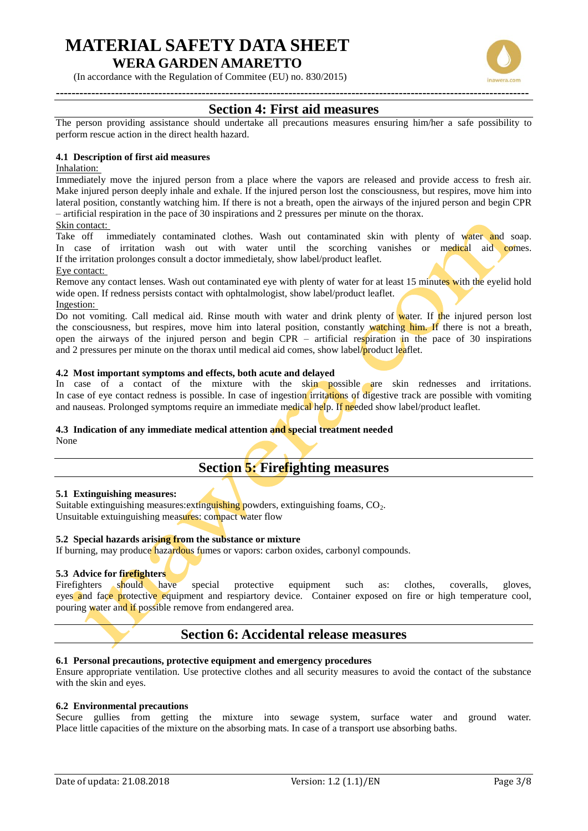(In accordance with the Regulation of Commitee (EU) no. 830/2015)

### **Section 4: First aid measures**

The person providing assistance should undertake all precautions measures ensuring him/her a safe possibility to perform rescue action in the direct health hazard.

### **4.1 Description of first aid measures**

### Inhalation:

Immediately move the injured person from a place where the vapors are released and provide access to fresh air. Make injured person deeply inhale and exhale. If the injured person lost the consciousness, but respires, move him into lateral position, constantly watching him. If there is not a breath, open the airways of the injured person and begin CPR – artificial respiration in the pace of 30 inspirations and 2 pressures per minute on the thorax. Skin contact:

Take off immediately contaminated clothes. Wash out contaminated skin with plenty of water and soap. In case of irritation wash out with water until the scorching vanishes or medical aid comes. If the irritation prolonges consult a doctor immedietaly, show label/product leaflet.

Eye contact:

Remove any contact lenses. Wash out contaminated eye with plenty of water for at least 15 minutes with the eyelid hold wide open. If redness persists contact with ophtalmologist, show label/product leaflet.

Ingestion:

Do not vomiting. Call medical aid. Rinse mouth with water and drink plenty of water. If the injured person lost the consciousness, but respires, move him into lateral position, constantly watching him. If there is not a breath, open the airways of the injured person and begin CPR – artificial respiration in the pace of 30 inspirations and 2 pressures per minute on the thorax until medical aid comes, show label/product leaflet.

### **4.2 Most important symptoms and effects, both acute and delayed**

In case of a contact of the mixture with the skin possible are skin rednesses and irritations. In case of eye contact redness is possible. In case of ingestion irritations of digestive track are possible with vomiting and nauseas. Prolonged symptoms require an immediate medical help. If needed show label/product leaflet.

### **4.3 Indication of any immediate medical attention and special treatment needed**

None

### **Section 5: Firefighting measures**

#### **5.1 Extinguishing measures:**

Suitable extinguishing measures: extinguishing powders, extinguishing foams,  $CO<sub>2</sub>$ . Unsuitable extuinguishing measures: compact water flow

### **5.2 Special hazards arising from the substance or mixture**

If burning, may produce hazardous fumes or vapors: carbon oxides, carbonyl compounds.

### **5.3 Advice for firefighters**

Firefighters should have special protective equipment such as: clothes, coveralls, gloves, eyes and face protective equipment and respiartory device. Container exposed on fire or high temperature cool, pouring water and if possible remove from endangered area.

### **Section 6: Accidental release measures**

### **6.1 Personal precautions, protective equipment and emergency procedures**

Ensure appropriate ventilation. Use protective clothes and all security measures to avoid the contact of the substance with the skin and eyes.

#### **6.2 Environmental precautions**

Secure gullies from getting the mixture into sewage system, surface water and ground water. Place little capacities of the mixture on the absorbing mats. In case of a transport use absorbing baths.

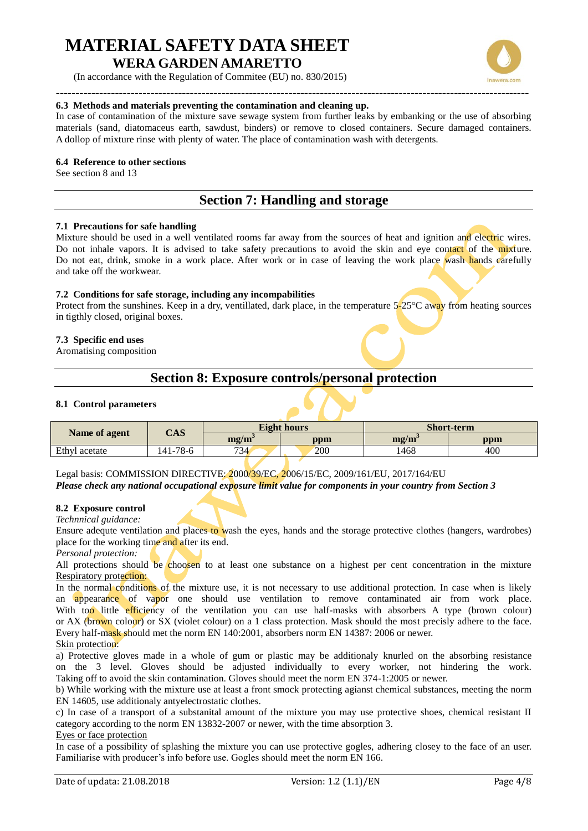(In accordance with the Regulation of Commitee (EU) no. 830/2015)



In case of contamination of the mixture save sewage system from further leaks by embanking or the use of absorbing materials (sand, diatomaceus earth, sawdust, binders) or remove to closed containers. Secure damaged containers. A dollop of mixture rinse with plenty of water. The place of contamination wash with detergents.

### **6.4 Reference to other sections**

See section 8 and 13

### **Section 7: Handling and storage**

#### **7.1 Precautions for safe handling**

Mixture should be used in a well ventilated rooms far away from the sources of heat and ignition and electric wires. Do not inhale vapors. It is advised to take safety precautions to avoid the skin and eye contact of the mixture. Do not eat, drink, smoke in a work place. After work or in case of leaving the work place wash hands carefully and take off the workwear.

#### **7.2 Conditions for safe storage, including any incompabilities**

Protect from the sunshines. Keep in a dry, ventillated, dark place, in the temperature  $5\text{-}25\degree C$  away from heating sources in tigthly closed, original boxes.

### **7.3 Specific end uses**

Aromatising composition

### **Section 8: Exposure controls/personal protection**

### **8.1 Control parameters**

| Name of agent | CAS      |                                     | <b>Eight hours</b> | <b>Short-term</b>                 |     |
|---------------|----------|-------------------------------------|--------------------|-----------------------------------|-----|
|               |          | $\mathbf{m}\mathbf{g}/\mathbf{m}^3$ | ppm                | $\mathbf{m}\mathbf{z}/\mathbf{m}$ | ppm |
| Ethyl acetate | 141-78-6 | 734                                 | 200                | 1468                              | 400 |

Legal basis: COMMISSION DIRECTIVE: 2000/39/EC, 2006/15/EC, 2009/161/EU, 2017/164/EU *Please check any national occupational exposure limit value for components in your country from Section 3*

### **8.2 Exposure control**

*Technnical guidance:*

Ensure adequte ventilation and places to wash the eyes, hands and the storage protective clothes (hangers, wardrobes) place for the working time and after its end.

*Personal protection:*

All protections should be choosen to at least one substance on a highest per cent concentration in the mixture Respiratory protection:

In the normal conditions of the mixture use, it is not necessary to use additional protection. In case when is likely an appearance of vapor one should use ventilation to remove contaminated air from work place. With too little efficiency of the ventilation you can use half-masks with absorbers A type (brown colour) or AX (brown colour) or SX (violet colour) on a 1 class protection. Mask should the most precisly adhere to the face. Every half-mask should met the norm EN 140:2001, absorbers norm EN 14387: 2006 or newer. Skin protection:

a) Protective gloves made in a whole of gum or plastic may be additionaly knurled on the absorbing resistance on the 3 level. Gloves should be adjusted individually to every worker, not hindering the work. Taking off to avoid the skin contamination. Gloves should meet the norm EN 374-1:2005 or newer.

b) While working with the mixture use at least a front smock protecting agianst chemical substances, meeting the norm EN 14605, use additionaly antyelectrostatic clothes.

c) In case of a transport of a substanital amount of the mixture you may use protective shoes, chemical resistant II category according to the norm EN 13832-2007 or newer, with the time absorption 3.

### Eyes or face protection

In case of a possibility of splashing the mixture you can use protective gogles, adhering closey to the face of an user. Familiarise with producer's info before use. Gogles should meet the norm EN 166.

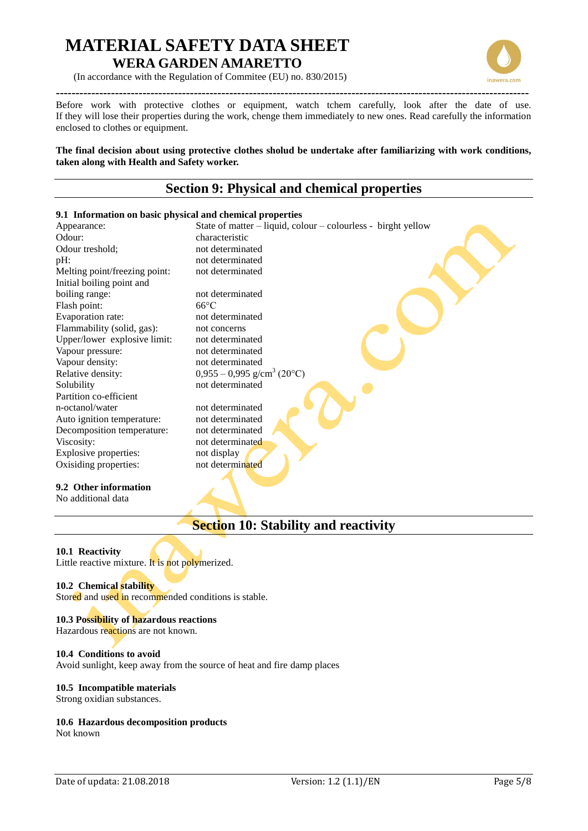

(In accordance with the Regulation of Commitee (EU) no. 830/2015)

**------------------------------------------------------------------------------------------------------------------------** Before work with protective clothes or equipment, watch tchem carefully, look after the date of use. If they will lose their properties during the work, chenge them immediately to new ones. Read carefully the information enclosed to clothes or equipment.

**The final decision about using protective clothes sholud be undertake after familiarizing with work conditions, taken along with Health and Safety worker.** 

### **Section 9: Physical and chemical properties**

### **9.1 Information on basic physical and chemical properties** Appearance: State of matter – liquid, colour – colourless - birght yellow Odour: characteristic Odour treshold; not determinated pH: not determinated Melting point/freezing point: not determinated Initial boiling point and boiling range: not determinated Flash point: 66°C Evaporation rate: not determinated Flammability (solid, gas): not concerns<br>Upper/lower explosive limit: not determinated Upper/lower explosive limit: Vapour pressure: not determinated Vapour density: not determinated Relative density:  $0.955 - 0.995$  g/cm<sup>3</sup> (20°C) Solubility not determinated Partition co-efficient n-octanol/water not determinated Auto ignition temperature: not determinated Decomposition temperature: not determinated Viscosity: not determinated Explosive properties: not display Oxisiding properties: not determinated **9.2 Other information**  No additional data

### **Section 10: Stability and reactivity**

**10.1 Reactivity**  Little reactive mixture. It is not polymerized.

### **10.2 Chemical stability**

Stored and used in recommended conditions is stable.

### **10.3 Possibility of hazardous reactions**

Hazardous reactions are not known.

### **10.4 Conditions to avoid**

Avoid sunlight, keep away from the source of heat and fire damp places

### **10.5 Incompatible materials**

Strong oxidian substances.

### **10.6 Hazardous decomposition products**

Not known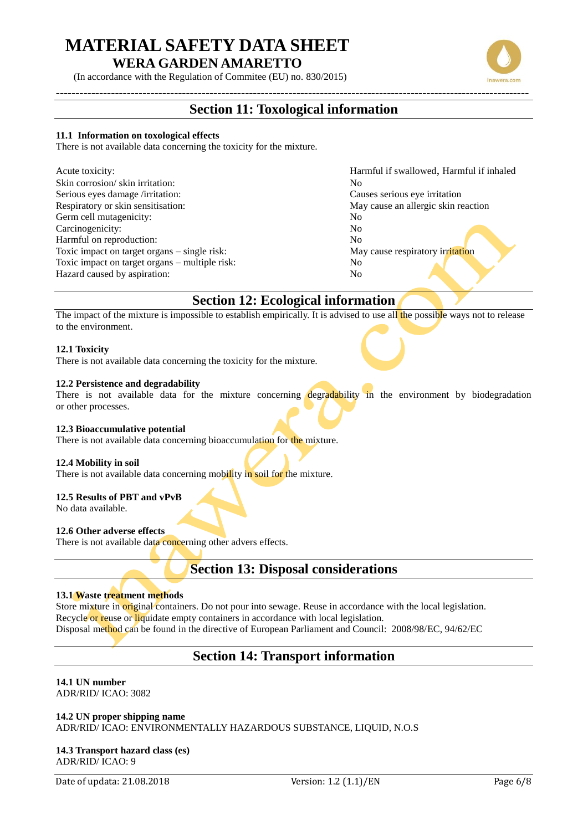(In accordance with the Regulation of Commitee (EU) no. 830/2015)

### **------------------------------------------------------------------------------------------------------------------------ Section 11: Toxological information**

### **11.1 Information on toxological effects**

There is not available data concerning the toxicity for the mixture.

| Acute toxicity:                                | Ha |
|------------------------------------------------|----|
| Skin corrosion/skin irritation:                | No |
| Serious eyes damage /irritation:               | Ca |
| Respiratory or skin sensitisation:             | Mz |
| Germ cell mutagenicity:                        | No |
| Carcinogenicity:                               | No |
| Harmful on reproduction:                       | No |
| Toxic impact on target organs – single risk:   | Mε |
| Toxic impact on target organs – multiple risk: | No |
| Hazard caused by aspiration:                   | No |

Harmful if swallowed, Harmful if inhaled Causes serious eye irritation May cause an allergic skin reaction May cause respiratory irritation

### **Section 12: Ecological information**

The impact of the mixture is impossible to establish empirically. It is advised to use all the possible ways not to release to the environment.

### **12.1 Toxicity**

There is not available data concerning the toxicity for the mixture.

### **12.2 Persistence and degradability**

There is not available data for the mixture concerning degradability in the environment by biodegradation or other processes.

### **12.3 Bioaccumulative potential**

There is not available data concerning bioaccumulation for the mixture.

### **12.4 Mobility in soil**

There is not available data concerning mobility in soil for the mixture.

### **12.5 Results of PBT and vPvB**

No data available.

### **12.6 Other adverse effects**

There is not available data concerning other advers effects.

### **Section 13: Disposal considerations**

### **13.1 Waste treatment methods**

Store mixture in original containers. Do not pour into sewage. Reuse in accordance with the local legislation. Recycle or reuse or liquidate empty containers in accordance with local legislation. Disposal method can be found in the directive of European Parliament and Council: 2008/98/EC, 94/62/EC

### **Section 14: Transport information**

### **14.1 UN number**

ADR/RID/ ICAO: 3082

**14.2 UN proper shipping name**  ADR/RID/ ICAO: ENVIRONMENTALLY HAZARDOUS SUBSTANCE, LIQUID, N.O.S

**14.3 Transport hazard class (es)** ADR/RID/ ICAO: 9

Date of updata: 21.08.2018 Version: 1.2 (1.1)/EN Page 6/8



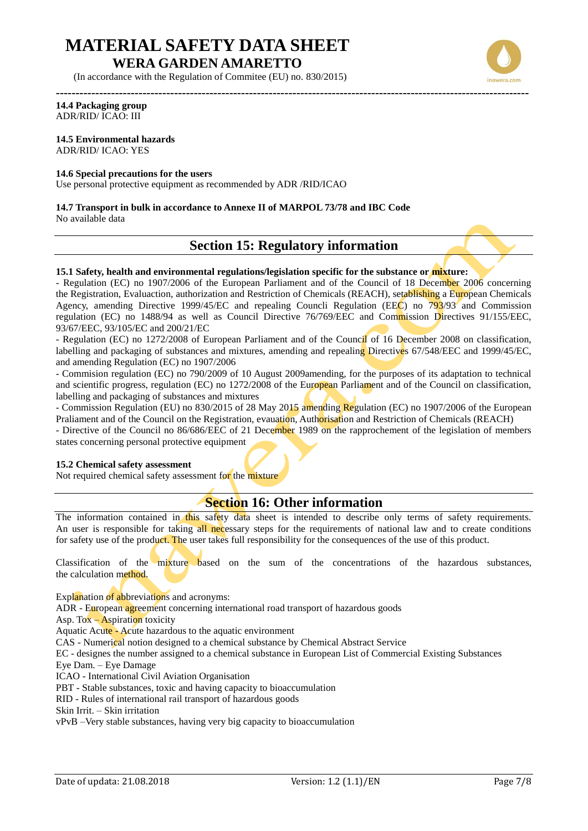(In accordance with the Regulation of Commitee (EU) no. 830/2015)



#### **------------------------------------------------------------------------------------------------------------------------ 14.4 Packaging group** ADR/RID/ ICAO: III

### **14.5 Environmental hazards**

ADR/RID/ ICAO: YES

### **14.6 Special precautions for the users**

Use personal protective equipment as recommended by ADR /RID/ICAO

### **14.7 Transport in bulk in accordance to Annexe II of MARPOL 73/78 and IBC Code**

No available data

### **Section 15: Regulatory information**

### **15.1 Safety, health and environmental regulations/legislation specific for the substance or mixture:**

- Regulation (EC) no 1907/2006 of the European Parliament and of the Council of 18 December 2006 concerning the Registration, Evaluaction, authorization and Restriction of Chemicals (REACH), setablishing a European Chemicals Agency, amending Directive 1999/45/EC and repealing Councli Regulation (EEC) no 793/93 and Commission regulation (EC) no 1488/94 as well as Council Directive 76/769/EEC and Commission Directives 91/155/EEC, 93/67/EEC, 93/105/EC and 200/21/EC

- Regulation (EC) no 1272/2008 of European Parliament and of the Council of 16 December 2008 on classification, labelling and packaging of substances and mixtures, amending and repealing Directives 67/548/EEC and 1999/45/EC, and amending Regulation (EC) no 1907/2006

- Commision regulation (EC) no 790/2009 of 10 August 2009amending, for the purposes of its adaptation to technical and scientific progress, regulation (EC) no 1272/2008 of the European Parliament and of the Council on classification, labelling and packaging of substances and mixtures

- Commission Regulation (EU) no 830/2015 of 28 May 2015 amending Regulation (EC) no 1907/2006 of the European Praliament and of the Council on the Registration, evauation, Authorisation and Restriction of Chemicals (REACH)

- Directive of the Council no 86/686/EEC of 21 December 1989 on the rapprochement of the legislation of members states concerning personal protective equipment

### **15.2 Chemical safety assessment**

Not required chemical safety assessment for the mixture

### **Section 16: Other information**

The information contained in this safety data sheet is intended to describe only terms of safety requirements. An user is responsible for taking all necessary steps for the requirements of national law and to create conditions for safety use of the product. The user takes full responsibility for the consequences of the use of this product.

Classification of the mixture based on the sum of the concentrations of the hazardous substances, the calculation method.

Explanation of abbreviations and acronyms:

ADR - European agreement concerning international road transport of hazardous goods

Asp. To $\bar{x}$  – Aspiration toxicity

Aquatic Acute - Acute hazardous to the aquatic environment

CAS - Numerical notion designed to a chemical substance by Chemical Abstract Service

EC - designes the number assigned to a chemical substance in European List of Commercial Existing Substances Eye Dam. – Eye Damage

ICAO - International Civil Aviation Organisation

PBT - Stable substances, toxic and having capacity to bioaccumulation

RID - Rules of international rail transport of hazardous goods

Skin Irrit. – Skin irritation

vPvB –Very stable substances, having very big capacity to bioaccumulation